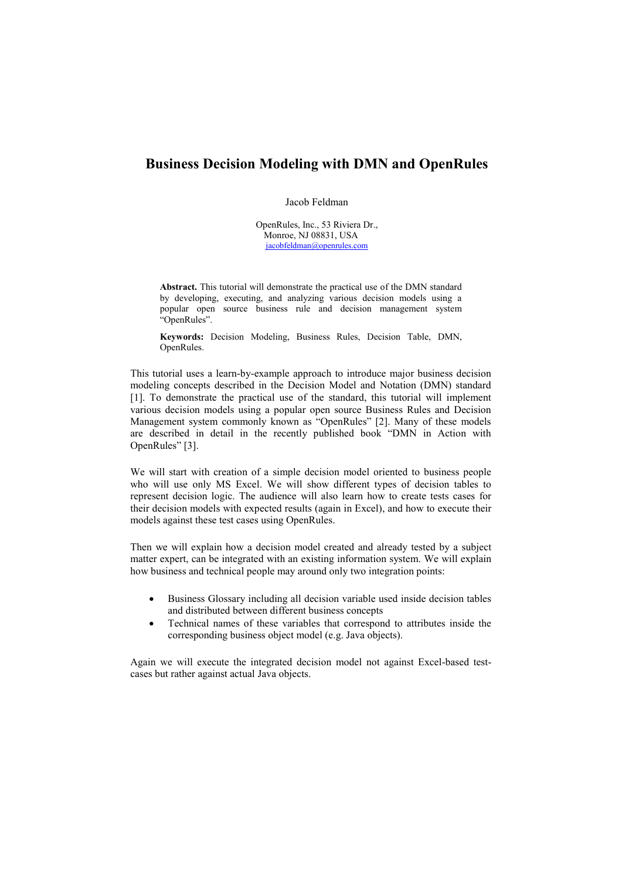## **Business Decision Modeling with DMN and OpenRules**

Jacob Feldman

OpenRules, Inc., 53 Riviera Dr., Monroe, NJ 08831, USA [jacobfeldman@openrules.com](mailto:jacobfeldman@openrules.com)

**Abstract.** This tutorial will demonstrate the practical use of the DMN standard by developing, executing, and analyzing various decision models using a popular open source business rule and decision management system "OpenRules".

**Keywords:** Decision Modeling, Business Rules, Decision Table, DMN, OpenRules.

This tutorial uses a learn-by-example approach to introduce major business decision modeling concepts described in the Decision Model and Notation (DMN) standard [1]. To demonstrate the practical use of the standard, this tutorial will implement various decision models using a popular open source Business Rules and Decision Management system commonly known as "OpenRules" [2]. Many of these models are described in detail in the recently published book "DMN in Action with OpenRules" [3].

We will start with creation of a simple decision model oriented to business people who will use only MS Excel. We will show different types of decision tables to represent decision logic. The audience will also learn how to create tests cases for their decision models with expected results (again in Excel), and how to execute their models against these test cases using OpenRules.

Then we will explain how a decision model created and already tested by a subject matter expert, can be integrated with an existing information system. We will explain how business and technical people may around only two integration points:

- Business Glossary including all decision variable used inside decision tables and distributed between different business concepts
- Technical names of these variables that correspond to attributes inside the corresponding business object model (e.g. Java objects).

Again we will execute the integrated decision model not against Excel-based testcases but rather against actual Java objects.